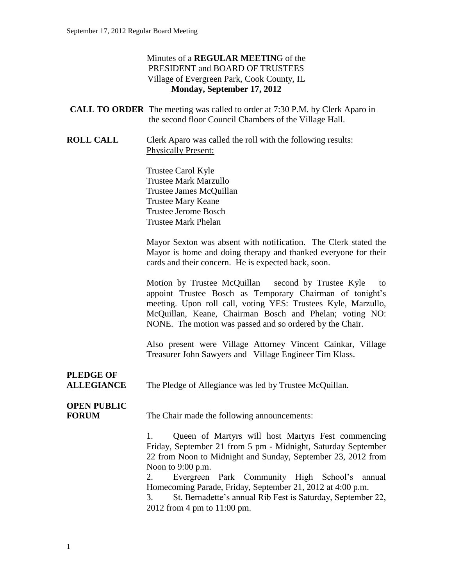#### Minutes of a **REGULAR MEETIN**G of the PRESIDENT and BOARD OF TRUSTEES Village of Evergreen Park, Cook County, IL **Monday, September 17, 2012**

|                  | <b>CALL TO ORDER</b> The meeting was called to order at 7:30 P.M. by Clerk Aparo in<br>the second floor Council Chambers of the Village Hall. |
|------------------|-----------------------------------------------------------------------------------------------------------------------------------------------|
| <b>ROLL CALL</b> | Clerk Aparo was called the roll with the following results:<br><b>Physically Present:</b>                                                     |
|                  | Trustee Carol Kyle<br><b>Trustee Mark Marzullo</b><br>Trustee James McQuillan<br><b>Trustee Mary Keane</b><br><b>Trustee Jerome Bosch</b>     |

Trustee Mark Phelan

Mayor Sexton was absent with notification. The Clerk stated the Mayor is home and doing therapy and thanked everyone for their cards and their concern. He is expected back, soon.

Motion by Trustee McQuillan second by Trustee Kyle to appoint Trustee Bosch as Temporary Chairman of tonight's meeting. Upon roll call, voting YES: Trustees Kyle, Marzullo, McQuillan, Keane, Chairman Bosch and Phelan; voting NO: NONE. The motion was passed and so ordered by the Chair.

Also present were Village Attorney Vincent Cainkar, Village Treasurer John Sawyers and Village Engineer Tim Klass.

# **PLEDGE OF**

**ALLEGIANCE** The Pledge of Allegiance was led by Trustee McQuillan.

## **OPEN PUBLIC**

**FORUM** The Chair made the following announcements:

1. Queen of Martyrs will host Martyrs Fest commencing Friday, September 21 from 5 pm - Midnight, Saturday September 22 from Noon to Midnight and Sunday, September 23, 2012 from Noon to 9:00 p.m.

2. Evergreen Park Community High School's annual Homecoming Parade, Friday, September 21, 2012 at 4:00 p.m.

3. St. Bernadette's annual Rib Fest is Saturday, September 22, 2012 from 4 pm to 11:00 pm.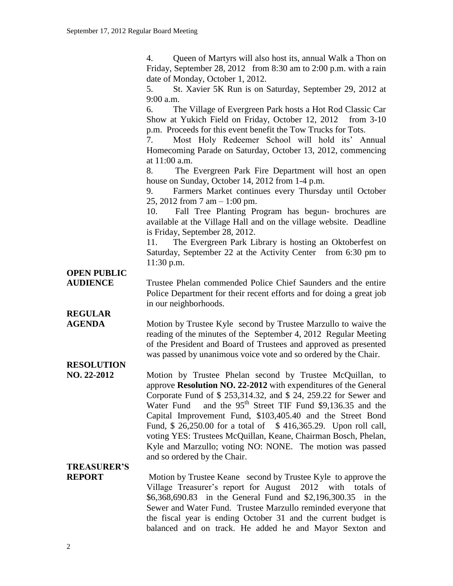4. Queen of Martyrs will also host its, annual Walk a Thon on Friday, September 28, 2012 from 8:30 am to 2:00 p.m. with a rain date of Monday, October 1, 2012.

5. St. Xavier 5K Run is on Saturday, September 29, 2012 at 9:00 a.m.

6. The Village of Evergreen Park hosts a Hot Rod Classic Car Show at Yukich Field on Friday, October 12, 2012 from 3-10 p.m. Proceeds for this event benefit the Tow Trucks for Tots.

7. Most Holy Redeemer School will hold its' Annual Homecoming Parade on Saturday, October 13, 2012, commencing at  $11:00$  a.m.

8. The Evergreen Park Fire Department will host an open house on Sunday, October 14, 2012 from 1-4 p.m.

9. Farmers Market continues every Thursday until October 25, 2012 from 7 am – 1:00 pm.

10. Fall Tree Planting Program has begun- brochures are available at the Village Hall and on the village website. Deadline is Friday, September 28, 2012.

11. The Evergreen Park Library is hosting an Oktoberfest on Saturday, September 22 at the Activity Center from 6:30 pm to 11:30 p.m.

### **OPEN PUBLIC**

**AUDIENCE** Trustee Phelan commended Police Chief Saunders and the entire Police Department for their recent efforts and for doing a great job in our neighborhoods.

**REGULAR** 

**AGENDA** Motion by Trustee Kyle second by Trustee Marzullo to waive the reading of the minutes of the September 4, 2012 Regular Meeting of the President and Board of Trustees and approved as presented was passed by unanimous voice vote and so ordered by the Chair.

## **RESOLUTION**

**NO. 22-2012** Motion by Trustee Phelan second by Trustee McQuillan, to approve **Resolution NO. 22-2012** with expenditures of the General Corporate Fund of \$ 253,314.32, and \$ 24, 259.22 for Sewer and Water Fund and the  $95<sup>th</sup>$  Street TIF Fund \$9,136.35 and the Capital Improvement Fund, \$103,405.40 and the Street Bond Fund, \$ 26,250.00 for a total of \$ 416,365.29. Upon roll call, voting YES: Trustees McQuillan, Keane, Chairman Bosch, Phelan, Kyle and Marzullo; voting NO: NONE. The motion was passed and so ordered by the Chair.

### **TREASURER'S**

**REPORT** Motion by Trustee Keane second by Trustee Kyle to approve the Village Treasurer's report for August 2012 with totals of \$6,368,690.83 in the General Fund and \$2,196,300.35 in the Sewer and Water Fund. Trustee Marzullo reminded everyone that the fiscal year is ending October 31 and the current budget is balanced and on track. He added he and Mayor Sexton and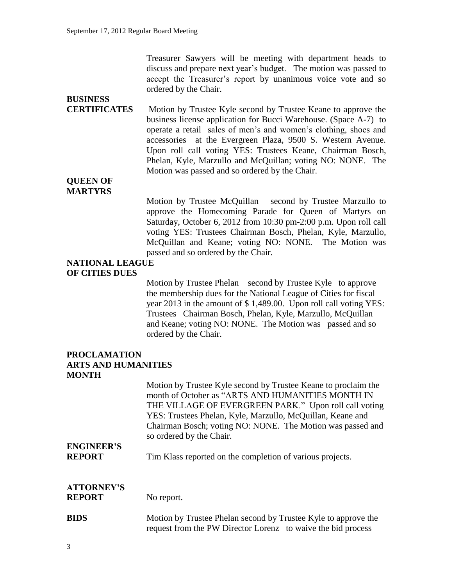Treasurer Sawyers will be meeting with department heads to discuss and prepare next year's budget. The motion was passed to accept the Treasurer's report by unanimous voice vote and so ordered by the Chair.

## **BUSINESS**

**CERTIFICATES** Motion by Trustee Kyle second by Trustee Keane to approve the business license application for Bucci Warehouse. (Space A-7) to operate a retail sales of men's and women's clothing, shoes and accessories at the Evergreen Plaza, 9500 S. Western Avenue. Upon roll call voting YES: Trustees Keane, Chairman Bosch, Phelan, Kyle, Marzullo and McQuillan; voting NO: NONE. The Motion was passed and so ordered by the Chair.

#### **QUEEN OF MARTYRS**

Motion by Trustee McQuillan second by Trustee Marzullo to approve the Homecoming Parade for Queen of Martyrs on Saturday, October 6, 2012 from 10:30 pm-2:00 p.m. Upon roll call voting YES: Trustees Chairman Bosch, Phelan, Kyle, Marzullo, McQuillan and Keane; voting NO: NONE. The Motion was passed and so ordered by the Chair.

#### **NATIONAL LEAGUE OF CITIES DUES**

Motion by Trustee Phelan second by Trustee Kyle to approve the membership dues for the National League of Cities for fiscal year 2013 in the amount of \$ 1,489.00. Upon roll call voting YES: Trustees Chairman Bosch, Phelan, Kyle, Marzullo, McQuillan and Keane; voting NO: NONE. The Motion was passed and so ordered by the Chair.

#### **PROCLAMATION ARTS AND HUMANITIES MONTH**

Motion by Trustee Kyle second by Trustee Keane to proclaim the month of October as "ARTS AND HUMANITIES MONTH IN THE VILLAGE OF EVERGREEN PARK." Upon roll call voting YES: Trustees Phelan, Kyle, Marzullo, McQuillan, Keane and Chairman Bosch; voting NO: NONE. The Motion was passed and so ordered by the Chair.

# **ENGINEER'S**

**REPORT** Tim Klass reported on the completion of various projects.

## **ATTORNEY'S**

**REPORT** No report.

#### **BIDS** Motion by Trustee Phelan second by Trustee Kyle to approve the request from the PW Director Lorenz to waive the bid process